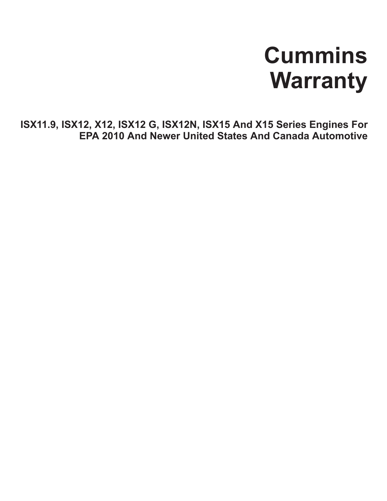# **Cummins Warranty**

**ISX11.9, ISX12, X12, ISX12 G, ISX12N, ISX15 And X15 Series Engines For EPA 2010 And Newer United States And Canada Automotive**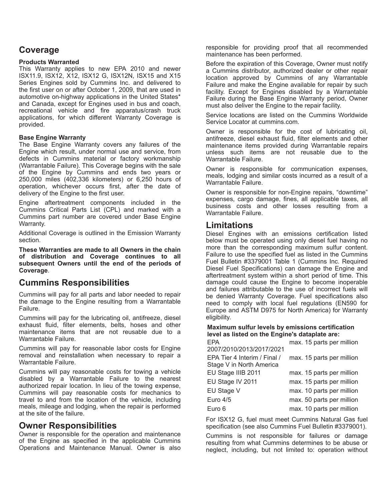# **Coverage**

## **Products Warranted**

This Warranty applies to new EPA 2010 and newer ISX11.9, ISX12, X12, ISX12 G, ISX12N, ISX15 and X15 Series Engines sold by Cummins Inc. and delivered to the first user on or after October 1, 2009, that are used in automotive on-highway applications in the United States\* and Canada, except for Engines used in bus and coach, recreational vehicle and fire apparatus/crash truck applications, for which different Warranty Coverage is provided.

## **Base Engine Warranty**

The Base Engine Warranty covers any failures of the Engine which result, under normal use and service, from defects in Cummins material or factory workmanship (Warrantable Failure). This Coverage begins with the sale of the Engine by Cummins and ends two years or 250,000 miles (402,336 kilometers) or 6,250 hours of operation, whichever occurs first, after the date of delivery of the Engine to the first user.

Engine aftertreatment components included in the Cummins Critical Parts List (CPL) and marked with a Cummins part number are covered under Base Engine Warranty.

Additional Coverage is outlined in the Emission Warranty section.

**These Warranties are made to all Owners in the chain of distribution and Coverage continues to all subsequent Owners until the end of the periods of Coverage**.

# **Cummins Responsibilities**

Cummins will pay for all parts and labor needed to repair the damage to the Engine resulting from a Warrantable Failure.

Cummins will pay for the lubricating oil, antifreeze, diesel exhaust fluid, filter elements, belts, hoses and other maintenance items that are not reusable due to a Warrantable Failure.

Cummins will pay for reasonable labor costs for Engine removal and reinstallation when necessary to repair a Warrantable Failure.

Cummins will pay reasonable costs for towing a vehicle disabled by a Warrantable Failure to the nearest authorized repair location. In lieu of the towing expense, Cummins will pay reasonable costs for mechanics to travel to and from the location of the vehicle, including meals, mileage and lodging, when the repair is performed at the site of the failure.

# **Owner Responsibilities**

Owner is responsible for the operation and maintenance of the Engine as specified in the applicable Cummins Operations and Maintenance Manual. Owner is also responsible for providing proof that all recommended maintenance has been performed.

Before the expiration of this Coverage, Owner must notify a Cummins distributor, authorized dealer or other repair location approved by Cummins of any Warrantable Failure and make the Engine available for repair by such facility. Except for Engines disabled by a Warrantable Failure during the Base Engine Warranty period, Owner must also deliver the Engine to the repair facility.

Service locations are listed on the Cummins Worldwide Service Locator at cummins.com.

Owner is responsible for the cost of lubricating oil, antifreeze, diesel exhaust fluid, filter elements and other maintenance items provided during Warrantable repairs unless such items are not reusable due to the Warrantable Failure.

Owner is responsible for communication expenses, meals, lodging and similar costs incurred as a result of a Warrantable Failure.

Owner is responsible for non-Engine repairs, "downtime" expenses, cargo damage, fines, all applicable taxes, all business costs and other losses resulting from a Warrantable Failure.

# **Limitations**

Diesel Engines with an emissions certification listed below must be operated using only diesel fuel having no more than the corresponding maximum sulfur content. Failure to use the specified fuel as listed in the Cummins Fuel Bulletin #3379001 Table 1 (Cummins Inc. Required Diesel Fuel Specifications) can damage the Engine and aftertreatment system within a short period of time. This damage could cause the Engine to become inoperable and failures attributable to the use of incorrect fuels will be denied Warranty Coverage. Fuel specifications also need to comply with local fuel regulations (EN590 for Europe and ASTM D975 for North America) for Warranty eligibility.

## **Maximum sulfur levels by emissions certification level as listed on the Engine's dataplate are:**

| FPA                          | max. 15 parts per million |
|------------------------------|---------------------------|
| 2007/2010/2013/2017/2021     |                           |
| EPA Tier 4 Interim / Final / | max. 15 parts per million |
| Stage V in North America     |                           |
| EU Stage IIIB 2011           | max. 15 parts per million |
| EU Stage IV 2011             | max. 15 parts per million |
| EU Stage V                   | max. 10 parts per million |
| Euro 4/5                     | max. 50 parts per million |
| Euro 6                       | max. 10 parts per million |

For ISX12 G, fuel must meet Cummins Natural Gas fuel specification (see also Cummins Fuel Bulletin #3379001).

Cummins is not responsible for failures or damage resulting from what Cummins determines to be abuse or neglect, including, but not limited to: operation without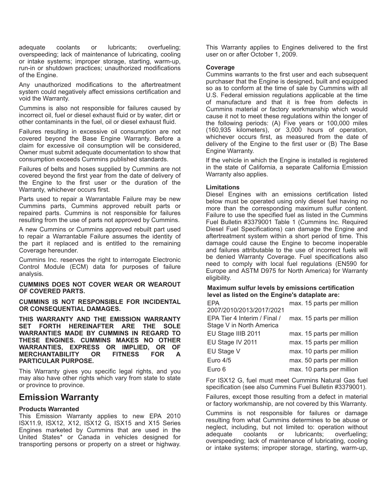adequate coolants or lubricants; overfueling; overspeeding; lack of maintenance of lubricating, cooling or intake systems; improper storage, starting, warm-up, run-in or shutdown practices; unauthorized modifications of the Engine.

Any unauthorized modifications to the aftertreatment system could negatively affect emissions certification and void the Warranty.

Cummins is also not responsible for failures caused by incorrect oil, fuel or diesel exhaust fluid or by water, dirt or other contaminants in the fuel, oil or diesel exhaust fluid.

Failures resulting in excessive oil consumption are not covered beyond the Base Engine Warranty. Before a claim for excessive oil consumption will be considered, Owner must submit adequate documentation to show that consumption exceeds Cummins published standards.

Failures of belts and hoses supplied by Cummins are not covered beyond the first year from the date of delivery of the Engine to the first user or the duration of the Warranty, whichever occurs first.

Parts used to repair a Warrantable Failure may be new Cummins parts, Cummins approved rebuilt parts or repaired parts. Cummins is not responsible for failures resulting from the use of parts not approved by Cummins.

A new Cummins or Cummins approved rebuilt part used to repair a Warrantable Failure assumes the identity of the part it replaced and is entitled to the remaining Coverage hereunder.

Cummins Inc. reserves the right to interrogate Electronic Control Module (ECM) data for purposes of failure analysis.

#### **CUMMINS DOES NOT COVER WEAR OR WEAROUT OF COVERED PARTS.**

**CUMMINS IS NOT RESPONSIBLE FOR INCIDENTAL OR CONSEQUENTIAL DAMAGES.**

**THIS WARRANTY AND THE EMISSION WARRANTY SET FORTH HEREINAFTER ARE THE SOLE WARRANTIES MADE BY CUMMINS IN REGARD TO THESE ENGINES. CUMMINS MAKES NO OTHER WARRANTIES, EXPRESS OR IMPLIED, OR OF MERCHANTABILITY OR FITNESS FOR A PARTICULAR PURPOSE.**

This Warranty gives you specific legal rights, and you may also have other rights which vary from state to state or province to province.

## **Emission Warranty**

## **Products Warranted**

This Emission Warranty applies to new EPA 2010 ISX11.9, ISX12, X12, ISX12 G, ISX15 and X15 Series Engines marketed by Cummins that are used in the United States\* or Canada in vehicles designed for transporting persons or property on a street or highway.

This Warranty applies to Engines delivered to the first user on or after October 1, 2009.

#### **Coverage**

Cummins warrants to the first user and each subsequent purchaser that the Engine is designed, built and equipped so as to conform at the time of sale by Cummins with all U.S. Federal emission regulations applicable at the time of manufacture and that it is free from defects in Cummins material or factory workmanship which would cause it not to meet these regulations within the longer of the following periods: (A) Five years or 100,000 miles (160,935 kilometers), or 3,000 hours of operation, whichever occurs first, as measured from the date of delivery of the Engine to the first user or (B) The Base Engine Warranty.

If the vehicle in which the Engine is installed is registered in the state of California, a separate California Emission Warranty also applies.

## **Limitations**

Diesel Engines with an emissions certification listed below must be operated using only diesel fuel having no more than the corresponding maximum sulfur content. Failure to use the specified fuel as listed in the Cummins Fuel Bulletin #3379001 Table 1 (Cummins Inc. Required Diesel Fuel Specifications) can damage the Engine and aftertreatment system within a short period of time. This damage could cause the Engine to become inoperable and failures attributable to the use of incorrect fuels will be denied Warranty Coverage. Fuel specifications also need to comply with local fuel regulations (EN590 for Europe and ASTM D975 for North America) for Warranty eligibility.

#### **Maximum sulfur levels by emissions certification level as listed on the Engine's dataplate are:**

| <b>FPA</b>                   | max. 15 parts per million |
|------------------------------|---------------------------|
| 2007/2010/2013/2017/2021     |                           |
| EPA Tier 4 Interim / Final / | max. 15 parts per million |
| Stage V in North America     |                           |
| EU Stage IIIB 2011           | max. 15 parts per million |
| EU Stage IV 2011             | max. 15 parts per million |
| EU Stage V                   | max. 10 parts per million |
| Euro $4/5$                   | max. 50 parts per million |
| Euro 6                       | max. 10 parts per million |

For ISX12 G, fuel must meet Cummins Natural Gas fuel specification (see also Cummins Fuel Bulletin #3379001).

Failures, except those resulting from a defect in material or factory workmanship, are not covered by this Warranty.

Cummins is not responsible for failures or damage resulting from what Cummins determines to be abuse or neglect, including, but not limited to: operation without adequate coolants or lubricants; overfueling; overspeeding; lack of maintenance of lubricating, cooling or intake systems; improper storage, starting, warm-up,